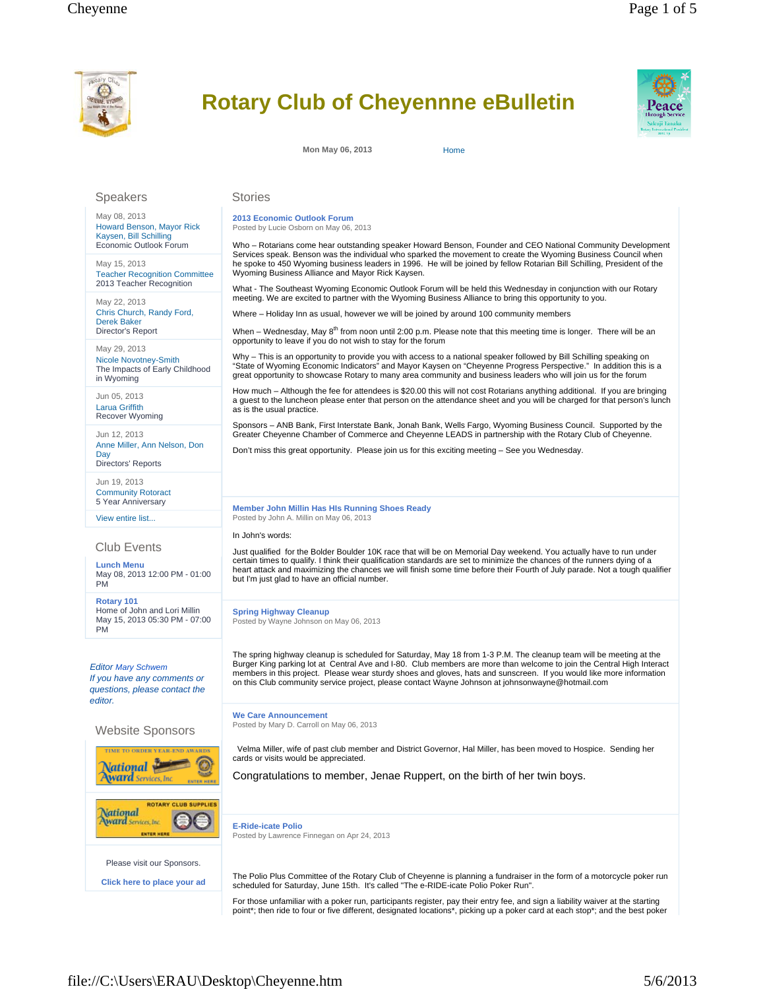

## **Rotary Club of Cheyennne eBulletin**

**Mon May 06, 2013** Home

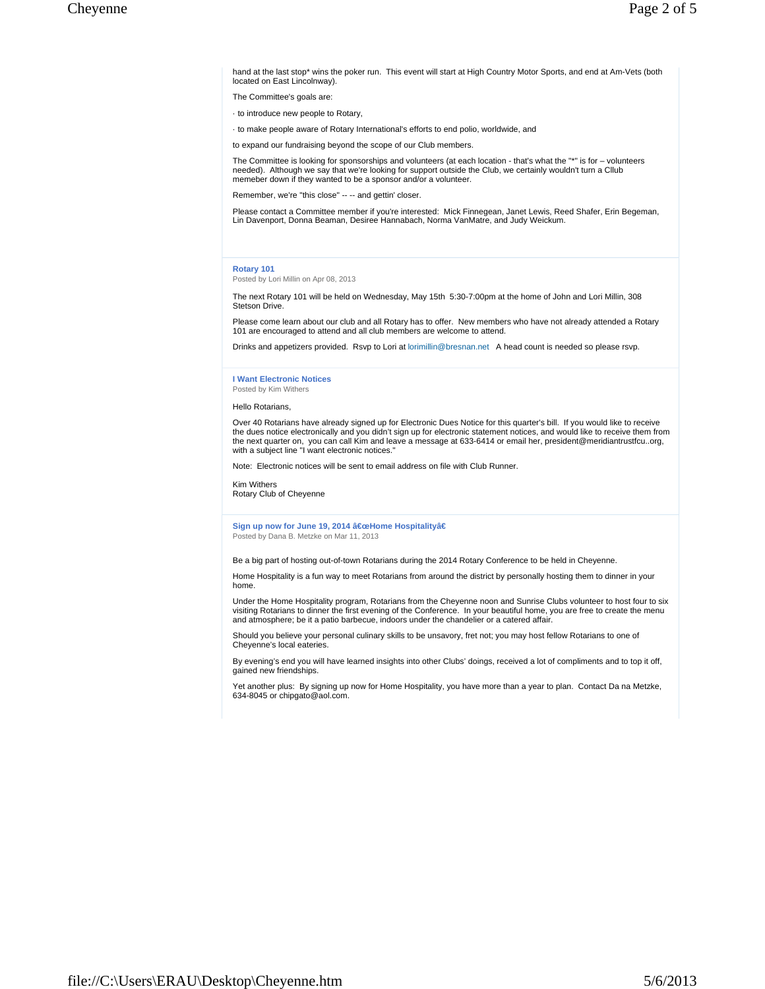hand at the last stop\* wins the poker run. This event will start at High Country Motor Sports, and end at Am-Vets (both located on East Lincolnway).

The Committee's goals are:

· to introduce new people to Rotary,

· to make people aware of Rotary International's efforts to end polio, worldwide, and

to expand our fundraising beyond the scope of our Club members.

The Committee is looking for sponsorships and volunteers (at each location - that's what the "\*" is for – volunteers needed). Although we say that we're looking for support outside the Club, we certainly wouldn't turn a Cllub memeber down if they wanted to be a sponsor and/or a volunteer.

Remember, we're "this close" -- -- and gettin' closer.

Please contact a Committee member if you're interested: Mick Finnegean, Janet Lewis, Reed Shafer, Erin Begeman, Lin Davenport, Donna Beaman, Desiree Hannabach, Norma VanMatre, and Judy Weickum.

## **Rotary 101**

Posted by Lori Millin on Apr 08, 2013

The next Rotary 101 will be held on Wednesday, May 15th 5:30-7:00pm at the home of John and Lori Millin, 308 Stetson Drive.

Please come learn about our club and all Rotary has to offer. New members who have not already attended a Rotary 101 are encouraged to attend and all club members are welcome to attend.

Drinks and appetizers provided. Rsvp to Lori at lorimillin@bresnan.net A head count is needed so please rsvp.

## **I Want Electronic Notices** Posted by Kim Withers

Hello Rotarians,

Over 40 Rotarians have already signed up for Electronic Dues Notice for this quarter's bill. If you would like to receive the dues notice electronically and you didn't sign up for electronic statement notices, and would like to receive them from the next quarter on, you can call Kim and leave a message at 633-6414 or email her, president@meridiantrustfcu..org, with a subject line "I want electronic notices."

Note: Electronic notices will be sent to email address on file with Club Runner.

Kim Withers Rotary Club of Cheyenne

Sign up now for June 19, 2014 "Home Hospitalityâ€ Posted by Dana B. Metzke on Mar 11, 2013

Be a big part of hosting out-of-town Rotarians during the 2014 Rotary Conference to be held in Cheyenne.

Home Hospitality is a fun way to meet Rotarians from around the district by personally hosting them to dinner in your home.

Under the Home Hospitality program, Rotarians from the Cheyenne noon and Sunrise Clubs volunteer to host four to six<br>visiting Rotarians to dinner the first evening of the Conference. In your beautiful home, you are free to and atmosphere; be it a patio barbecue, indoors under the chandelier or a catered affair.

Should you believe your personal culinary skills to be unsavory, fret not; you may host fellow Rotarians to one of Cheyenne's local eateries.

By evening's end you will have learned insights into other Clubs' doings, received a lot of compliments and to top it off, gained new friendships.

Yet another plus: By signing up now for Home Hospitality, you have more than a year to plan. Contact Da na Metzke, 634-8045 or chipgato@aol.com.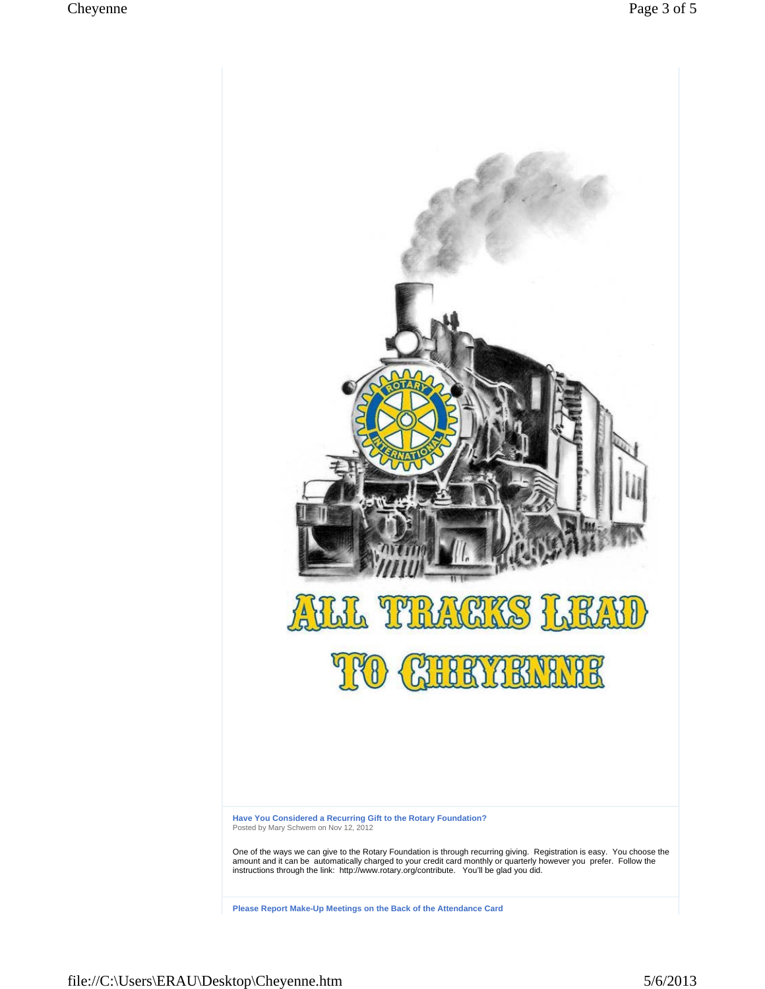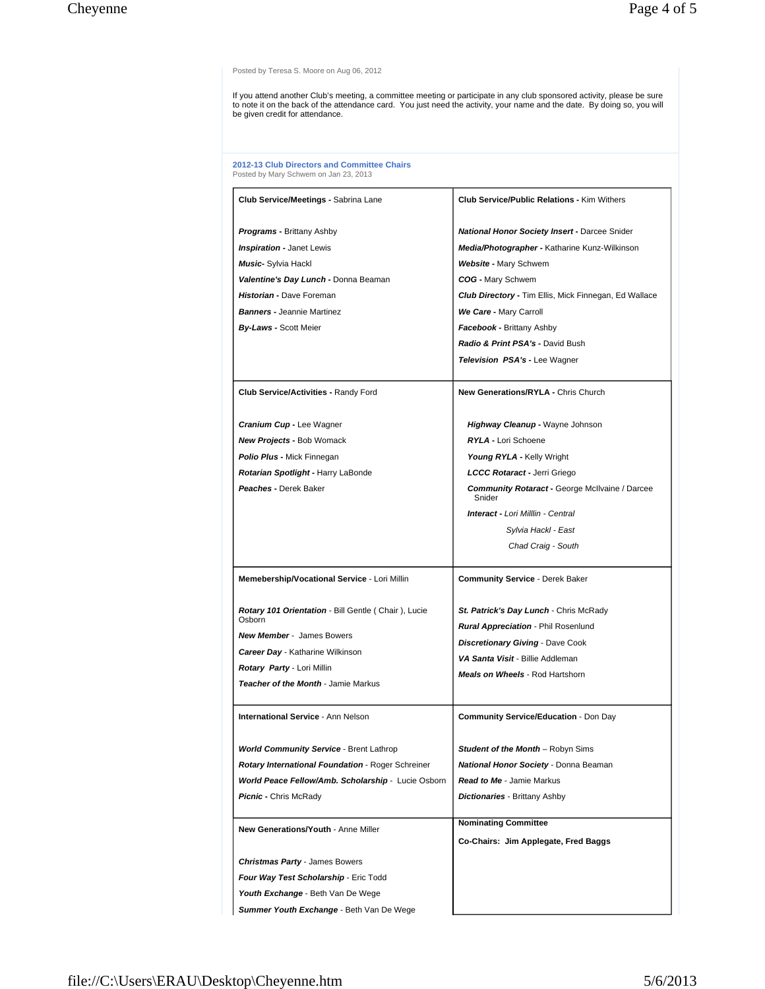Posted by Teresa S. Moore on Aug 06, 2012

If you attend another Club's meeting, a committee meeting or participate in any club sponsored activity, please be sure<br>to note it on the back of the attendance card. You just need the activity, your name and the date. By

**2012-13 Club Directors and Committee Chairs** Posted by Mary Schwem on Jan 23, 2013

| <b>Club Service/Meetings - Sabrina Lane</b>                   | <b>Club Service/Public Relations - Kim Withers</b>              |
|---------------------------------------------------------------|-----------------------------------------------------------------|
| <b>Programs - Brittany Ashby</b>                              | <b>National Honor Society Insert - Darcee Snider</b>            |
| <b>Inspiration - Janet Lewis</b>                              | Media/Photographer - Katharine Kunz-Wilkinson                   |
| Music- Sylvia Hackl                                           | Website - Mary Schwem                                           |
| Valentine's Day Lunch - Donna Beaman                          | COG - Mary Schwem                                               |
| Historian - Dave Foreman                                      | <b>Club Directory - Tim Ellis, Mick Finnegan, Ed Wallace</b>    |
| <b>Banners - Jeannie Martinez</b>                             | We Care - Mary Carroll                                          |
| <b>By-Laws - Scott Meier</b>                                  | Facebook - Brittany Ashby                                       |
|                                                               | Radio & Print PSA's - David Bush                                |
|                                                               | <b>Television PSA's - Lee Wagner</b>                            |
| <b>Club Service/Activities - Randy Ford</b>                   | New Generations/RYLA - Chris Church                             |
| <b>Cranium Cup - Lee Wagner</b>                               | Highway Cleanup - Wayne Johnson                                 |
| <b>New Projects - Bob Womack</b>                              | <b>RYLA - Lori Schoene</b>                                      |
| <b>Polio Plus - Mick Finnegan</b>                             | Young RYLA - Kelly Wright                                       |
| Rotarian Spotlight - Harry LaBonde                            | LCCC Rotaract - Jerri Griego                                    |
| Peaches - Derek Baker                                         | <b>Community Rotaract - George McIlvaine / Darcee</b><br>Snider |
|                                                               | <b>Interact - Lori Milllin - Central</b>                        |
|                                                               | Sylvia Hackl - East                                             |
|                                                               | Chad Craig - South                                              |
|                                                               |                                                                 |
| Memebership/Vocational Service - Lori Millin                  | <b>Community Service - Derek Baker</b>                          |
| Rotary 101 Orientation - Bill Gentle (Chair), Lucie<br>Osborn | St. Patrick's Day Lunch - Chris McRady                          |
| <b>New Member - James Bowers</b>                              | <b>Rural Appreciation - Phil Rosenlund</b>                      |
| <b>Career Day - Katharine Wilkinson</b>                       | <b>Discretionary Giving - Dave Cook</b>                         |
| Rotary Party - Lori Millin                                    | VA Santa Visit - Billie Addleman                                |
| Teacher of the Month - Jamie Markus                           | <b>Meals on Wheels - Rod Hartshorn</b>                          |
| <b>International Service - Ann Nelson</b>                     | <b>Community Service/Education - Don Day</b>                    |
| <b>World Community Service - Brent Lathrop</b>                | Student of the Month - Robyn Sims                               |
| <b>Rotary International Foundation - Roger Schreiner</b>      | National Honor Society - Donna Beaman                           |
| World Peace Fellow/Amb. Scholarship - Lucie Osborn            | <b>Read to Me - Jamie Markus</b>                                |
| <b>Picnic - Chris McRady</b>                                  | <b>Dictionaries - Brittany Ashby</b>                            |
| New Generations/Youth - Anne Miller                           | <b>Nominating Committee</b>                                     |
|                                                               | Co-Chairs: Jim Applegate, Fred Baggs                            |
| <b>Christmas Party - James Bowers</b>                         |                                                                 |
| Four Way Test Scholarship - Eric Todd                         |                                                                 |
| Youth Exchange - Beth Van De Wege                             |                                                                 |
| Summer Youth Exchange - Beth Van De Wege                      |                                                                 |
|                                                               |                                                                 |